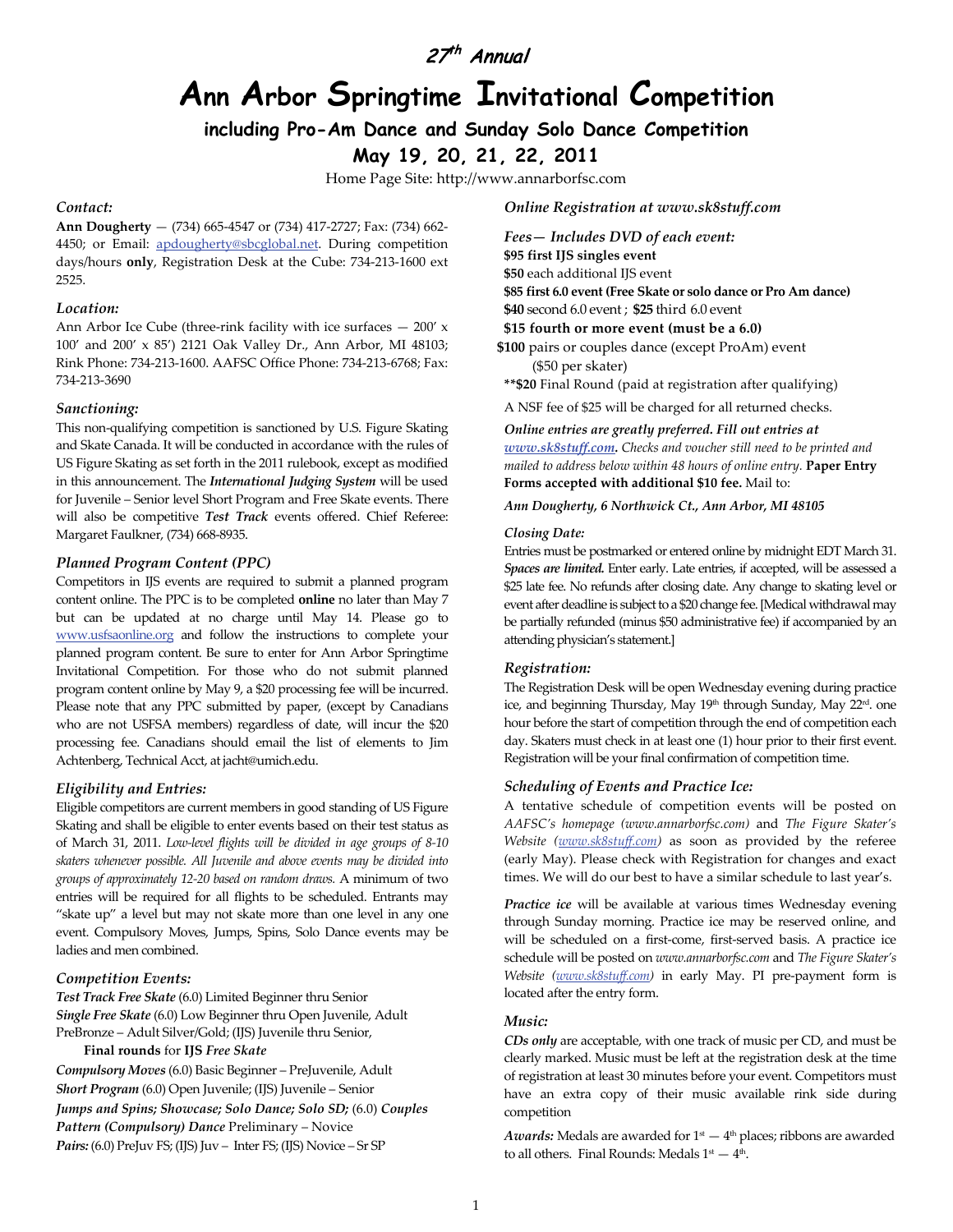# 27<sup>th</sup> Annual

# **Ann Arbor Springtime Invitational Competition**

**including Pro-Am Dance and Sunday Solo Dance Competition**

**May 19, 20, 21, 22, 2011**

Home Page Site: http://www.annarborfsc.com

#### *Contact:*

**Ann Dougherty** — (734) 665-4547 or (734) 417-2727; Fax: (734) 662 4450; or Email: [apdougherty@sbcglobal.net.](mailto:apdougherty@sbcglobal.net) During competition days/hours **only**, Registration Desk at the Cube: 734-213-1600 ext 2525.

#### *Location:*

Ann Arbor Ice Cube (three-rink facility with ice surfaces  $-200'$  x 100' and 200' x 85') 2121 Oak Valley Dr., Ann Arbor, MI 48103; Rink Phone: 734-213-1600. AAFSC Office Phone: 734-213-6768; Fax: 734-213-3690

#### *Sanctioning:*

This non-qualifying competition is sanctioned by U.S. Figure Skating and Skate Canada. It will be conducted in accordance with the rules of US Figure Skating as set forth in the 2011 rulebook, except as modified in this announcement. The *International Judging System* will be used for Juvenile – Senior level Short Program and Free Skate events. There will also be competitive *Test Track* events offered. Chief Referee: Margaret Faulkner, (734) 668-8935.

#### *Planned Program Content (PPC)*

Competitors in IJS events are required to submit a planned program content online. The PPC is to be completed **online** no later than May 7 but can be updated at no charge until May 14. Please go to [www.usfsaonline.org](http://www.usfsaonline.org/) and follow the instructions to complete your planned program content. Be sure to enter for Ann Arbor Springtime Invitational Competition. For those who do not submit planned program content online by May 9, a \$20 processing fee will be incurred. Please note that any PPC submitted by paper, (except by Canadians who are not USFSA members) regardless of date, will incur the \$20 processing fee. Canadians should email the list of elements to Jim Achtenberg, Technical Acct, at jacht@umich.edu.

#### *Eligibility and Entries:*

Eligible competitors are current members in good standing of US Figure Skating and shall be eligible to enter events based on their test status as of March 31, 2011. *Low-level flights will be divided in age groups of 8-10 skaters whenever possible. All Juvenile and above events may be divided into groups of approximately 12-20 based on random draws.* A minimum of two entries will be required for all flights to be scheduled. Entrants may "skate up" a level but may not skate more than one level in any one event. Compulsory Moves, Jumps, Spins, Solo Dance events may be ladies and men combined.

#### *Competition Events:*

*Test Track Free Skate* (6.0) Limited Beginner thru Senior *Single Free Skate* (6.0) Low Beginner thru Open Juvenile, Adult PreBronze – Adult Silver/Gold; (IJS) Juvenile thru Senior,

#### **Final rounds** for **IJS** *Free Skate*

*Compulsory Moves* (6.0) Basic Beginner – PreJuvenile, Adult *Short Program* (6.0) Open Juvenile; (IJS) Juvenile – Senior *Jumps and Spins; Showcase; Solo Dance; Solo SD;* (6.0) *Couples Pattern (Compulsory) Dance* Preliminary – Novice Pairs: (6.0) PreJuv FS; (IJS) Juv - Inter FS; (IJS) Novice - Sr SP

*Online Registration at www.sk8stuff.com*

*Fees— Includes DVD of each event:* **\$95 first IJS singles event \$50** each additional IJS event **\$85 first 6.0 event (Free Skate or solo dance or Pro Am dance) \$40** second 6.0 event ; **\$25** third 6.0 event **\$15 fourth or more event (must be a 6.0) \$100** pairs or couples dance (except ProAm) event

(\$50 per skater)

**\*\*\$20** Final Round (paid at registration after qualifying)

A NSF fee of \$25 will be charged for all returned checks.

*Online entries are greatly preferred. Fill out entries at [www.sk8stuff.com.](http://www.sk8stuff.com/) Checks and voucher still need to be printed and mailed to address below within 48 hours of online entry.* **Paper Entry Forms accepted with additional \$10 fee.** Mail to:

*Ann Dougherty, 6 Northwick Ct., Ann Arbor, MI 48105*

#### *Closing Date:*

Entries must be postmarked or entered online by midnight EDT March 31. *Spaces are limited.* Enter early. Late entries, if accepted, will be assessed a \$25 late fee. No refunds after closing date. Any change to skating level or event after deadline is subject to a \$20 change fee. [Medical withdrawal may be partially refunded (minus \$50 administrative fee) if accompanied by an attending physician's statement.]

#### *Registration:*

The Registration Desk will be open Wednesday evening during practice ice, and beginning Thursday, May 19<sup>th</sup> through Sunday, May 22<sup>rd</sup>. one hour before the start of competition through the end of competition each day. Skaters must check in at least one (1) hour prior to their first event. Registration will be your final confirmation of competition time.

#### *Scheduling of Events and Practice Ice:*

A tentative schedule of competition events will be posted on *AAFSC's homepage (www.annarborfsc.com)* and *The Figure Skater's Website [\(www.sk8stuff.com\)](http://www.sk8stuff.com/)* as soon as provided by the referee (early May). Please check with Registration for changes and exact times. We will do our best to have a similar schedule to last year's.

*Practice ice* will be available at various times Wednesday evening through Sunday morning. Practice ice may be reserved online, and will be scheduled on a first-come, first-served basis. A practice ice schedule will be posted on *www.annarborfsc.com* and *The Figure Skater's Website [\(www.sk8stuff.com\)](http://www.sk8stuff.com/)* in early May. PI pre-payment form is located after the entry form.

#### *Music:*

*CDs only* are acceptable, with one track of music per CD, and must be clearly marked. Music must be left at the registration desk at the time of registration at least 30 minutes before your event. Competitors must have an extra copy of their music available rink side during competition

*Awards:* Medals are awarded for  $1<sup>st</sup> - 4<sup>th</sup>$  places; ribbons are awarded to all others. Final Rounds: Medals  $1<sup>st</sup> - 4<sup>th</sup>$ .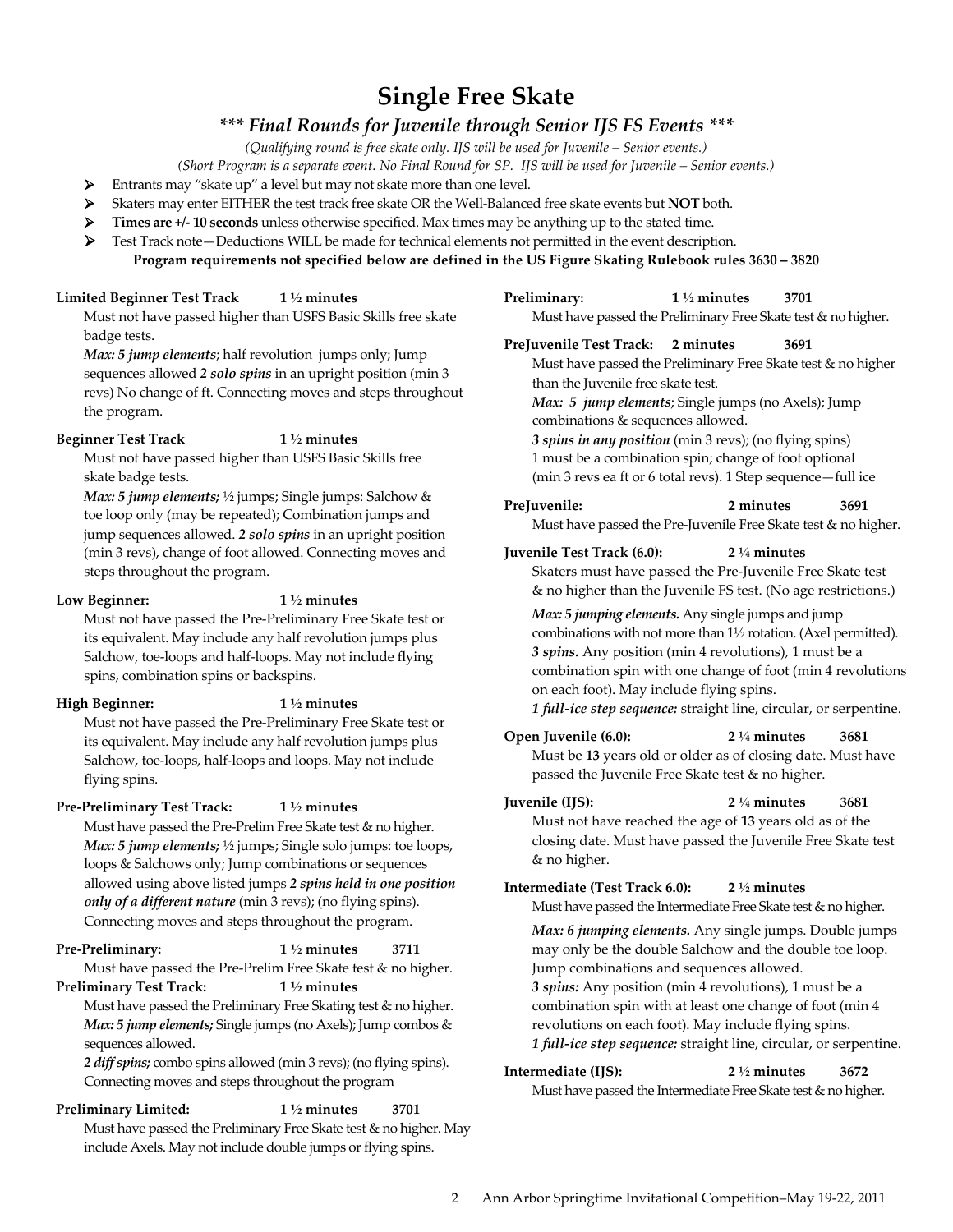# **Single Free Skate**

# *\*\*\* Final Rounds for Juvenile through Senior IJS FS Events \*\*\**

*(Qualifying round is free skate only. IJS will be used for Juvenile – Senior events.)* 

*(Short Program is a separate event. No Final Round for SP. IJS will be used for Juvenile – Senior events.)*

- Entrants may "skate up" a level but may not skate more than one level.
- Skaters may enter EITHER the test track free skate OR the Well-Balanced free skate events but **NOT** both.
- **Times are +/- 10 seconds** unless otherwise specified. Max times may be anything up to the stated time.
- Test Track note—Deductions WILL be made for technical elements not permitted in the event description.

**Program requirements not specified below are defined in the US Figure Skating Rulebook rules 3630 – 3820**

### **Limited Beginner Test Track 1 ½ minutes**

Must not have passed higher than USFS Basic Skills free skate badge tests.

*Max: 5 jump elements*; half revolution jumps only; Jump sequences allowed *2 solo spins* in an upright position (min 3 revs) No change of ft. Connecting moves and steps throughout the program.

## **Beginner Test Track** 1 ½ minutes

Must not have passed higher than USFS Basic Skills free skate badge tests.

*Max: 5 jump elements;* ½ jumps; Single jumps: Salchow & toe loop only (may be repeated); Combination jumps and jump sequences allowed. *2 solo spins* in an upright position (min 3 revs), change of foot allowed. Connecting moves and steps throughout the program.

### **Low Beginner: 1 ½ minutes**

Must not have passed the Pre-Preliminary Free Skate test or its equivalent. May include any half revolution jumps plus Salchow, toe-loops and half-loops. May not include flying spins, combination spins or backspins.

## **High Beginner: 1 ½ minutes**

Must not have passed the Pre-Preliminary Free Skate test or its equivalent. May include any half revolution jumps plus Salchow, toe-loops, half-loops and loops. May not include flying spins.

## **Pre-Preliminary Test Track: 1 ½ minutes**

Must have passed the Pre-Prelim Free Skate test & no higher. *Max: 5 jump elements;* ½ jumps; Single solo jumps: toe loops, loops & Salchows only; Jump combinations or sequences allowed using above listed jumps *2 spins held in one position only of a different nature* (min 3 revs); (no flying spins). Connecting moves and steps throughout the program.

# **Pre-Preliminary: 1 ½ minutes 3711**

Must have passed the Pre-Prelim Free Skate test & no higher. **Preliminary Test Track: 1 ½ minutes**

Must have passed the Preliminary Free Skating test & no higher. *Max: 5 jump elements;* Single jumps (no Axels); Jump combos & sequences allowed.

*2 diff spins;* combo spins allowed (min 3 revs); (no flying spins). Connecting moves and steps throughout the program

## **Preliminary Limited: 1 ½ minutes 3701** Must have passed the Preliminary Free Skate test & no higher. May include Axels. May not include double jumps or flying spins.

| Preliminary:                                                                                                 | 1 $\frac{1}{2}$ minutes<br>3701<br>Must have passed the Preliminary Free Skate test & no higher.                                                                                                                                                                                                                                                                                                                                                                                    |
|--------------------------------------------------------------------------------------------------------------|-------------------------------------------------------------------------------------------------------------------------------------------------------------------------------------------------------------------------------------------------------------------------------------------------------------------------------------------------------------------------------------------------------------------------------------------------------------------------------------|
| PreJuvenile Test Track: 2 minutes<br>than the Juvenile free skate test.<br>combinations & sequences allowed. | 3691<br>Must have passed the Preliminary Free Skate test & no higher<br>Max: 5 jump elements; Single jumps (no Axels); Jump<br>3 spins in any position (min 3 revs); (no flying spins)<br>1 must be a combination spin; change of foot optional<br>(min 3 revs ea ft or 6 total revs). 1 Step sequence-full ice                                                                                                                                                                     |
| PreJuvenile:                                                                                                 | 2 minutes<br>3691<br>Must have passed the Pre-Juvenile Free Skate test & no higher.                                                                                                                                                                                                                                                                                                                                                                                                 |
| <b>Juvenile Test Track (6.0):</b>                                                                            | $2\frac{1}{4}$ minutes<br>Skaters must have passed the Pre-Juvenile Free Skate test<br>& no higher than the Juvenile FS test. (No age restrictions.)                                                                                                                                                                                                                                                                                                                                |
| on each foot). May include flying spins.                                                                     | Max: 5 jumping elements. Any single jumps and jump<br>combinations with not more than 11/2 rotation. (Axel permitted).<br>3 spins. Any position (min 4 revolutions), 1 must be a<br>combination spin with one change of foot (min 4 revolutions<br>1 full-ice step sequence: straight line, circular, or serpentine.                                                                                                                                                                |
| Open Juvenile (6.0):                                                                                         | $2\frac{1}{4}$ minutes<br>3681<br>Must be 13 years old or older as of closing date. Must have<br>passed the Juvenile Free Skate test & no higher.                                                                                                                                                                                                                                                                                                                                   |
| Juvenile (IJS):<br>& no higher.                                                                              | $2\frac{1}{4}$ minutes<br>3681<br>Must not have reached the age of 13 years old as of the<br>closing date. Must have passed the Juvenile Free Skate test                                                                                                                                                                                                                                                                                                                            |
| Intermediate (Test Track 6.0):                                                                               | 2 $\frac{1}{2}$ minutes                                                                                                                                                                                                                                                                                                                                                                                                                                                             |
|                                                                                                              | Must have passed the Intermediate Free Skate test & no higher.<br>Max: 6 jumping elements. Any single jumps. Double jumps<br>may only be the double Salchow and the double toe loop.<br>Jump combinations and sequences allowed.<br>3 spins: Any position (min 4 revolutions), 1 must be a<br>combination spin with at least one change of foot (min 4<br>revolutions on each foot). May include flying spins.<br>1 full-ice step sequence: straight line, circular, or serpentine. |
| Intermediate (IJS):                                                                                          | 2 $\frac{1}{2}$ minutes<br>3672<br>Must have passed the Intermediate Free Skate test & no higher.                                                                                                                                                                                                                                                                                                                                                                                   |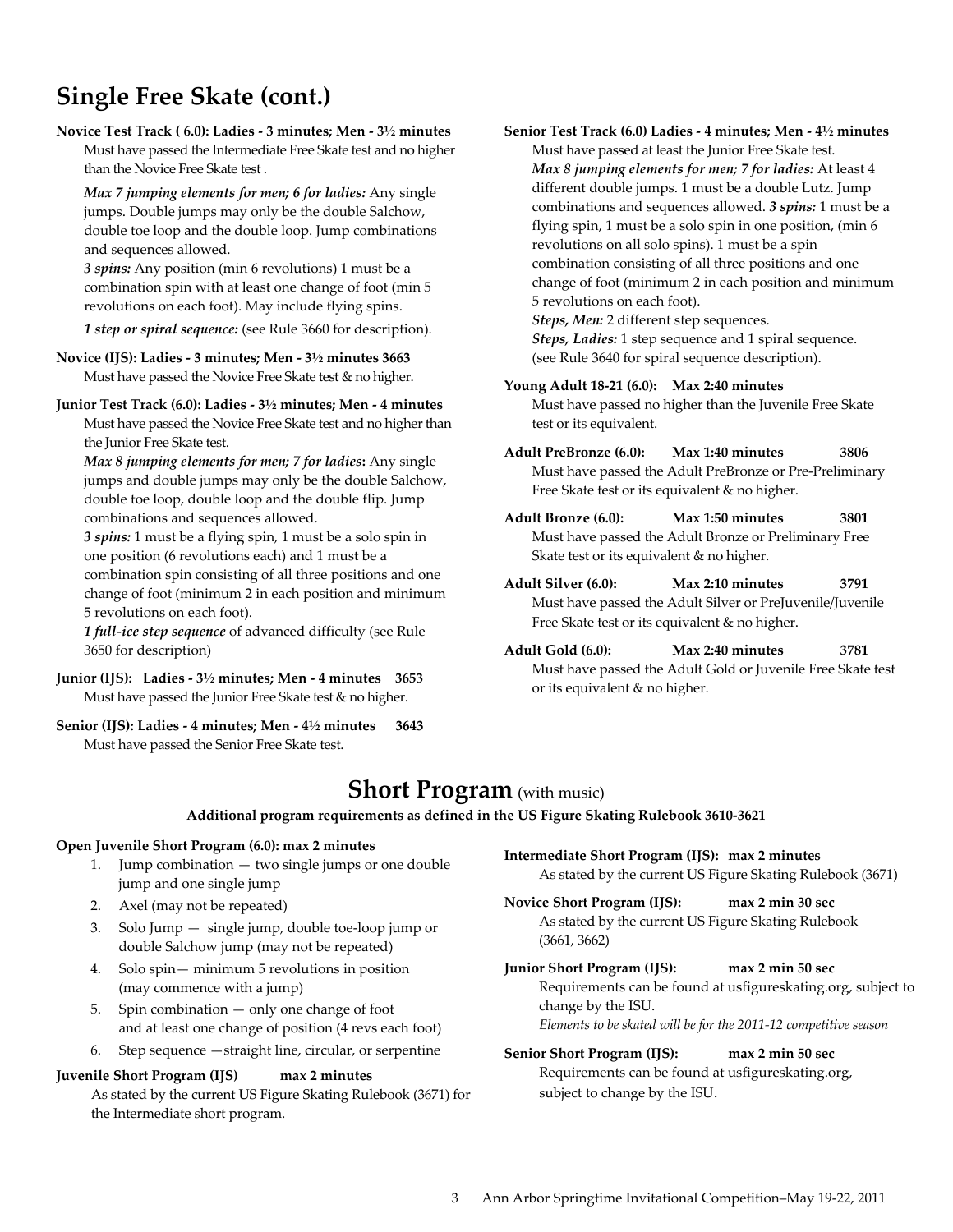# **Single Free Skate (cont.)**

- **Novice Test Track ( 6.0): Ladies - 3 minutes; Men - 3½ minutes** Must have passed the Intermediate Free Skate test and no higher than the Novice Free Skate test .
	- *Max 7 jumping elements for men; 6 for ladies:* Any single jumps. Double jumps may only be the double Salchow, double toe loop and the double loop. Jump combinations and sequences allowed.

*3 spins:* Any position (min 6 revolutions) 1 must be a combination spin with at least one change of foot (min 5 revolutions on each foot). May include flying spins.

*1 step or spiral sequence:* (see Rule 3660 for description).

## **Novice (IJS): Ladies - 3 minutes; Men - 3½ minutes 3663** Must have passed the Novice Free Skate test & no higher.

**Junior Test Track (6.0): Ladies - 3½ minutes; Men - 4 minutes** Must have passed the Novice Free Skate test and no higher than the Junior Free Skate test.

*Max 8 jumping elements for men; 7 for ladies***:** Any single jumps and double jumps may only be the double Salchow, double toe loop, double loop and the double flip. Jump combinations and sequences allowed.

*3 spins:* 1 must be a flying spin, 1 must be a solo spin in one position (6 revolutions each) and 1 must be a combination spin consisting of all three positions and one change of foot (minimum 2 in each position and minimum 5 revolutions on each foot).

*1 full-ice step sequence* of advanced difficulty (see Rule 3650 for description)

**Junior (IJS): Ladies - 3½ minutes; Men - 4 minutes 3653** Must have passed the Junior Free Skate test & no higher.

### **Senior (IJS): Ladies - 4 minutes; Men - 4½ minutes 3643** Must have passed the Senior Free Skate test.

**Senior Test Track (6.0) Ladies - 4 minutes; Men - 4½ minutes** Must have passed at least the Junior Free Skate test. *Max 8 jumping elements for men; 7 for ladies:* At least 4 different double jumps. 1 must be a double Lutz. Jump combinations and sequences allowed. *3 spins:* 1 must be a flying spin, 1 must be a solo spin in one position, (min 6 revolutions on all solo spins). 1 must be a spin combination consisting of all three positions and one change of foot (minimum 2 in each position and minimum 5 revolutions on each foot). *Steps, Men:* 2 different step sequences.

*Steps, Ladies:* 1 step sequence and 1 spiral sequence. (see Rule 3640 for spiral sequence description).

**Young Adult 18-21 (6.0): Max 2:40 minutes** Must have passed no higher than the Juvenile Free Skate test or its equivalent.

- **Adult PreBronze (6.0): Max 1:40 minutes 3806** Must have passed the Adult PreBronze or Pre-Preliminary Free Skate test or its equivalent & no higher.
- **Adult Bronze (6.0): Max 1:50 minutes 3801** Must have passed the Adult Bronze or Preliminary Free Skate test or its equivalent & no higher.
- **Adult Silver (6.0): Max 2:10 minutes 3791** Must have passed the Adult Silver or PreJuvenile/Juvenile Free Skate test or its equivalent & no higher.
- **Adult Gold (6.0): Max 2:40 minutes 3781** Must have passed the Adult Gold or Juvenile Free Skate test or its equivalent & no higher.

# **Short Program** (with music)

**Additional program requirements as defined in the US Figure Skating Rulebook 3610-3621**

## **Open Juvenile Short Program (6.0): max 2 minutes**

- 1. Jump combination two single jumps or one double jump and one single jump
- 2. Axel (may not be repeated)
- 3. Solo Jump single jump, double toe-loop jump or double Salchow jump (may not be repeated)
- 4. Solo spin— minimum 5 revolutions in position (may commence with a jump)
- 5. Spin combination only one change of foot and at least one change of position (4 revs each foot)
- 6. Step sequence —straight line, circular, or serpentine

## **Juvenile Short Program (IJS) max 2 minutes**

As stated by the current US Figure Skating Rulebook (3671) for the Intermediate short program.

**Intermediate Short Program (IJS): max 2 minutes** As stated by the current US Figure Skating Rulebook (3671)

- **Novice Short Program (IJS): max 2 min 30 sec** As stated by the current US Figure Skating Rulebook (3661, 3662)
- **Junior Short Program (IJS): max 2 min 50 sec** Requirements can be found at usfigureskating.org, subject to change by the ISU. *Elements to be skated will be for the 2011-12 competitive season*
- **Senior Short Program (IJS): max 2 min 50 sec** Requirements can be found at usfigureskating.org, subject to change by the ISU.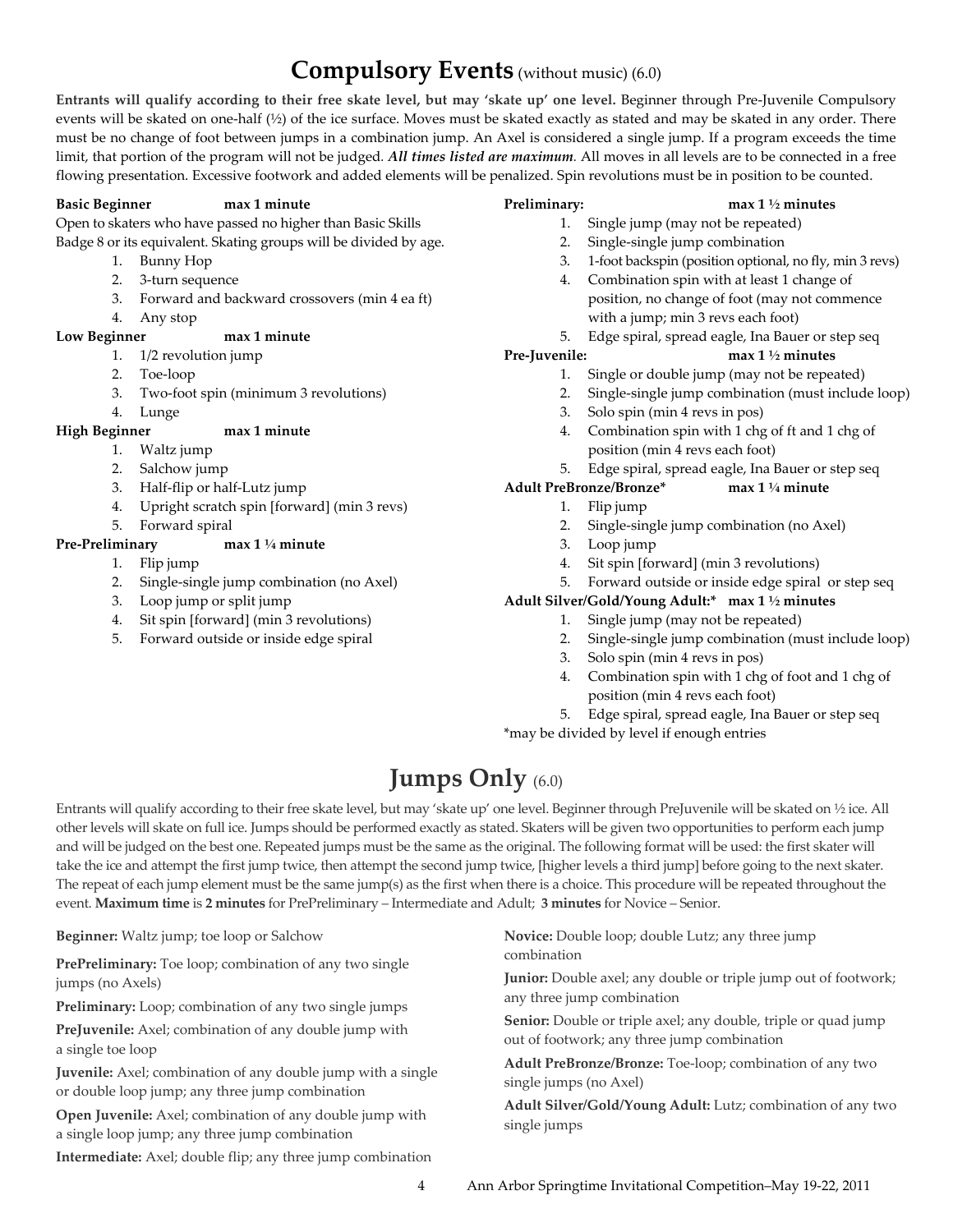# **Compulsory Events** (without music) (6.0)

**Entrants will qualify according to their free skate level, but may 'skate up' one level.** Beginner through Pre-Juvenile Compulsory events will be skated on one-half (½) of the ice surface. Moves must be skated exactly as stated and may be skated in any order. There must be no change of foot between jumps in a combination jump. An Axel is considered a single jump. If a program exceeds the time limit, that portion of the program will not be judged*. All times listed are maximum.* All moves in all levels are to be connected in a free flowing presentation. Excessive footwork and added elements will be penalized. Spin revolutions must be in position to be counted.

### **Basic Beginner max 1 minute**

Open to skaters who have passed no higher than Basic Skills Badge 8 or its equivalent. Skating groups will be divided by age.

- 1. Bunny Hop
- 2. 3-turn sequence
- 3. Forward and backward crossovers (min 4 ea ft)
- 4. Any stop

## **Low Beginner max 1 minute**

- 1. 1/2 revolution jump
- 2. Toe-loop
- 3. Two-foot spin (minimum 3 revolutions)
- 4. Lunge

### **High Beginner max 1 minute**

- 1. Waltz jump
- 2. Salchow jump
- 3. Half-flip or half-Lutz jump
- 4. Upright scratch spin [forward] (min 3 revs)
- 5. Forward spiral

## **Pre-Preliminary max 1 ¼ minute**

- 1. Flip jump
- 2. Single-single jump combination (no Axel)
- 3. Loop jump or split jump
- 4. Sit spin [forward] (min 3 revolutions)
- 5. Forward outside or inside edge spiral

## **Preliminary: max 1 ½ minutes**

- 1. Single jump (may not be repeated)
- 2. Single-single jump combination
- 3. 1-foot backspin (position optional, no fly, min 3 revs)
- 4. Combination spin with at least 1 change of position, no change of foot (may not commence with a jump; min 3 revs each foot)
- 5. Edge spiral, spread eagle, Ina Bauer or step seq

- 1. Single or double jump (may not be repeated)
- 2. Single-single jump combination (must include loop)
- 3. Solo spin (min 4 revs in pos)
- 4. Combination spin with 1 chg of ft and 1 chg of position (min 4 revs each foot)
- 5. Edge spiral, spread eagle, Ina Bauer or step seq

## **Adult PreBronze/Bronze\* max 1 ¼ minute**

- 1. Flip jump
- 2. Single-single jump combination (no Axel)
- 3. Loop jump
- 4. Sit spin [forward] (min 3 revolutions)
- 5. Forward outside or inside edge spiral or step seq

## **Adult Silver/Gold/Young Adult:\* max 1 ½ minutes**

- 1. Single jump (may not be repeated)
- 2. Single-single jump combination (must include loop)
- 3. Solo spin (min 4 revs in pos)
- 4. Combination spin with 1 chg of foot and 1 chg of position (min 4 revs each foot)
- 5. Edge spiral, spread eagle, Ina Bauer or step seq

\*may be divided by level if enough entries

# **Jumps Only** (6.0)

Entrants will qualify according to their free skate level, but may 'skate up' one level. Beginner through PreJuvenile will be skated on ½ ice. All other levels will skate on full ice. Jumps should be performed exactly as stated. Skaters will be given two opportunities to perform each jump and will be judged on the best one. Repeated jumps must be the same as the original. The following format will be used: the first skater will take the ice and attempt the first jump twice, then attempt the second jump twice, [higher levels a third jump] before going to the next skater. The repeat of each jump element must be the same jump(s) as the first when there is a choice. This procedure will be repeated throughout the event. **Maximum time** is **2 minutes** for PrePreliminary – Intermediate and Adult; **3 minutes** for Novice – Senior.

**Beginner:** Waltz jump; toe loop or Salchow

**PrePreliminary:** Toe loop; combination of any two single jumps (no Axels)

**Preliminary:** Loop; combination of any two single jumps

**PreJuvenile:** Axel; combination of any double jump with a single toe loop

**Juvenile:** Axel; combination of any double jump with a single or double loop jump; any three jump combination

**Open Juvenile:** Axel; combination of any double jump with a single loop jump; any three jump combination

**Intermediate:** Axel; double flip; any three jump combination

**Novice:** Double loop; double Lutz; any three jump combination

**Junior:** Double axel; any double or triple jump out of footwork; any three jump combination

**Senior:** Double or triple axel; any double, triple or quad jump out of footwork; any three jump combination

**Adult PreBronze/Bronze:** Toe-loop; combination of any two single jumps (no Axel)

**Adult Silver/Gold/Young Adult:** Lutz; combination of any two single jumps

- **Pre-Juvenile: max 1 ½ minutes**
	-
	-
	-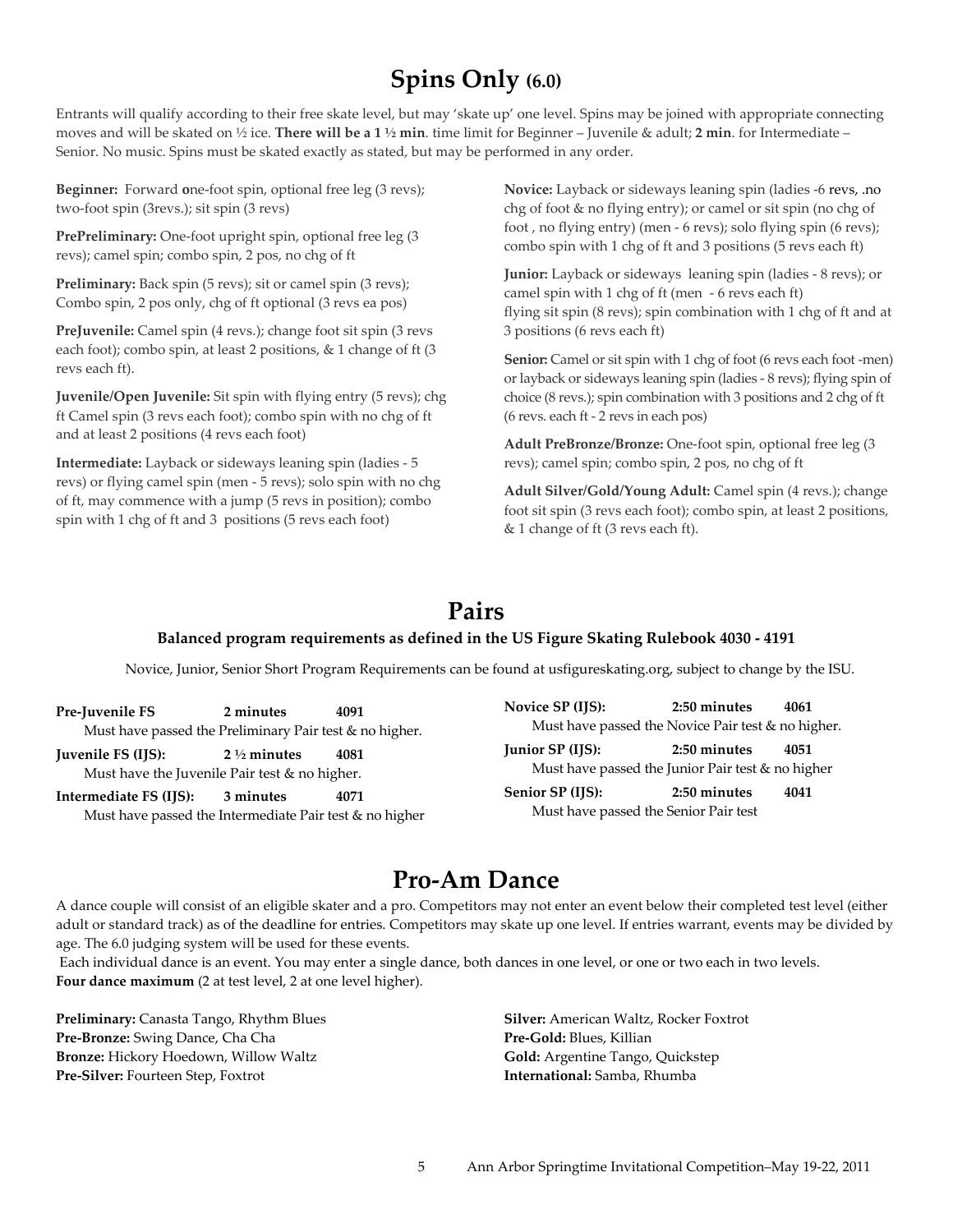# **Spins Only (6.0)**

Entrants will qualify according to their free skate level, but may 'skate up' one level. Spins may be joined with appropriate connecting moves and will be skated on ½ ice. **There will be a 1 ½ min**. time limit for Beginner – Juvenile & adult; **2 min**. for Intermediate – Senior. No music. Spins must be skated exactly as stated, but may be performed in any order.

**Beginner:** Forward **o**ne-foot spin, optional free leg (3 revs); two-foot spin (3revs.); sit spin (3 revs)

**PrePreliminary:** One-foot upright spin, optional free leg (3 revs); camel spin; combo spin, 2 pos, no chg of ft

Preliminary: Back spin (5 revs); sit or camel spin (3 revs); Combo spin, 2 pos only, chg of ft optional (3 revs ea pos)

PreJuvenile: Camel spin (4 revs.); change foot sit spin (3 revs each foot); combo spin, at least 2 positions, & 1 change of ft (3 revs each ft).

**Juvenile/Open Juvenile:** Sit spin with flying entry (5 revs); chg ft Camel spin (3 revs each foot); combo spin with no chg of ft and at least 2 positions (4 revs each foot)

**Intermediate:** Layback or sideways leaning spin (ladies - 5 revs) or flying camel spin (men - 5 revs); solo spin with no chg of ft, may commence with a jump (5 revs in position); combo spin with 1 chg of ft and 3 positions (5 revs each foot)

**Novice:** Layback or sideways leaning spin (ladies -[6 revs, .no](http://revs.no/) chg of foot & no flying entry); or camel or sit spin (no chg of foot , no flying entry) (men - 6 revs); solo flying spin (6 revs); combo spin with 1 chg of ft and 3 positions (5 revs each ft)

**Junior:** Layback or sideways leaning spin (ladies - 8 revs); or camel spin with 1 chg of ft (men - 6 revs each ft) flying sit spin (8 revs); spin combination with 1 chg of ft and at 3 positions (6 revs each ft)

Senior: Camel or sit spin with 1 chg of foot (6 revs each foot -men) or layback or sideways leaning spin (ladies - 8 revs); flying spin of choice (8 revs.); spin combination with 3 positions and 2 chg of ft (6 revs. each ft - 2 revs in each pos)

**Adult PreBronze/Bronze:** One-foot spin, optional free leg (3 revs); camel spin; combo spin, 2 pos, no chg of ft

**Adult Silver/Gold/Young Adult:** Camel spin (4 revs.); change foot sit spin (3 revs each foot); combo spin, at least 2 positions, & 1 change of ft (3 revs each ft).

# **Pairs**

## **Balanced program requirements as defined in the US Figure Skating Rulebook 4030 - 4191**

Novice, Junior, Senior Short Program Requirements can be found at usfigureskating.org, subject to change by the ISU.

| Pre-Juvenile FS<br>Must have passed the Preliminary Pair test & no higher.        | 2 minutes              | 4091 | Novice SP (IJS): | 2:50 minutes<br>Must have passed the Novice Pair test & no higher. | 4061 |
|-----------------------------------------------------------------------------------|------------------------|------|------------------|--------------------------------------------------------------------|------|
| Juvenile FS (IJS):<br>Must have the Juvenile Pair test & no higher.               | $2\frac{1}{2}$ minutes | 4081 | Junior SP (IJS): | 2:50 minutes<br>Must have passed the Junior Pair test & no higher  | 4051 |
| Intermediate FS (IJS):<br>Must have passed the Intermediate Pair test & no higher | 3 minutes              | 4071 | Senior SP (IJS): | 2:50 minutes<br>Must have passed the Senior Pair test              | 4041 |

# **Pro-Am Dance**

A dance couple will consist of an eligible skater and a pro. Competitors may not enter an event below their completed test level (either adult or standard track) as of the deadline for entries. Competitors may skate up one level. If entries warrant, events may be divided by age. The 6.0 judging system will be used for these events.

Each individual dance is an event. You may enter a single dance, both dances in one level, or one or two each in two levels. Four dance maximum (2 at test level, 2 at one level higher).

**Preliminary:** Canasta Tango, Rhythm Blues **Pre-Bronze:** Swing Dance, Cha Cha **Bronze:** Hickory Hoedown, Willow Waltz **Pre-Silver:** Fourteen Step, Foxtrot

**Silver:** American Waltz, Rocker Foxtrot **Pre-Gold:** Blues, Killian **Gold:** Argentine Tango, Quickstep **International:** Samba, Rhumba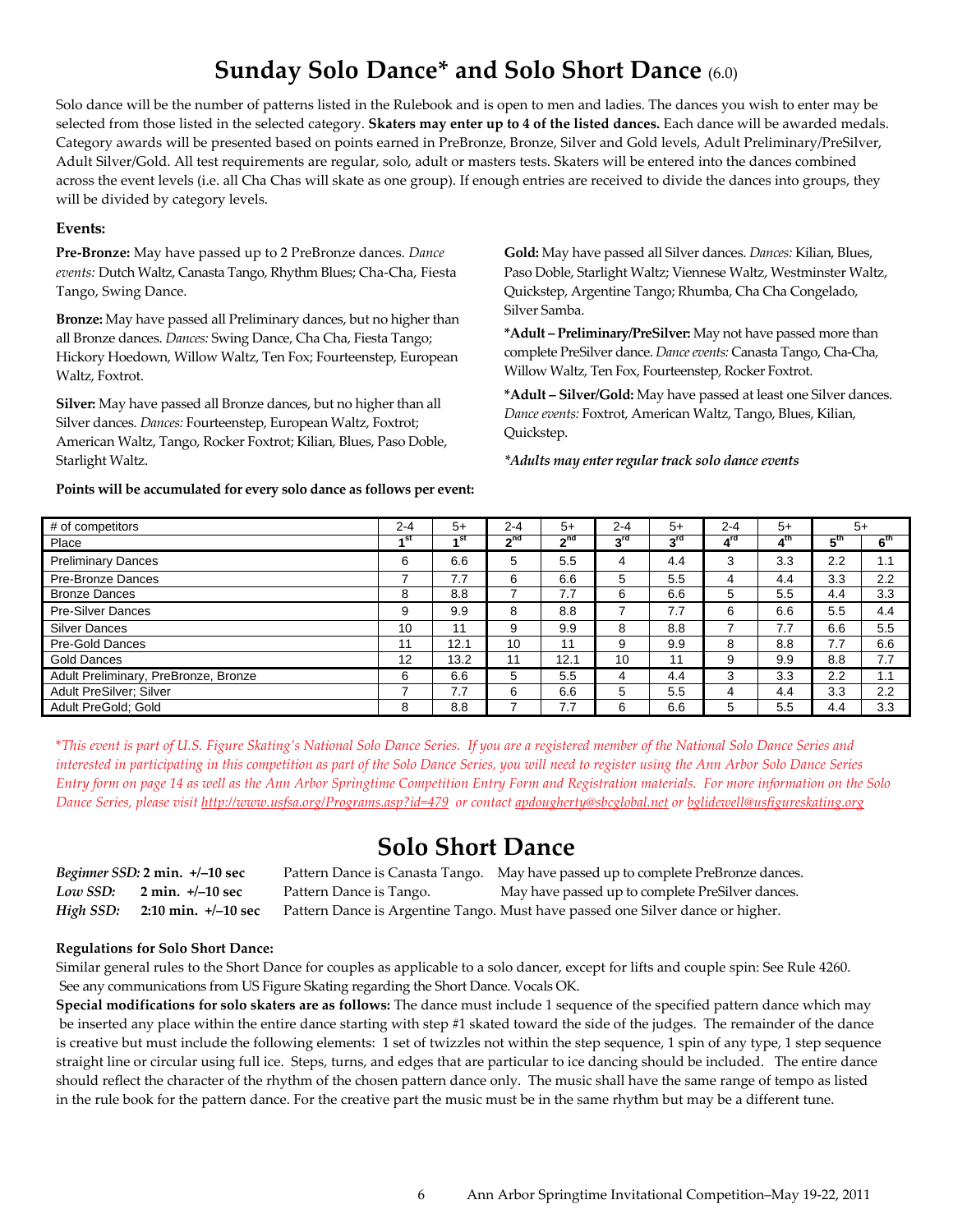# **Sunday Solo Dance\* and Solo Short Dance** (6.0)

Solo dance will be the number of patterns listed in the Rulebook and is open to men and ladies. The dances you wish to enter may be selected from those listed in the selected category. **Skaters may enter up to 4 of the listed dances.** Each dance will be awarded medals. Category awards will be presented based on points earned in PreBronze, Bronze, Silver and Gold levels, Adult Preliminary/PreSilver, Adult Silver/Gold. All test requirements are regular, solo, adult or masters tests. Skaters will be entered into the dances combined across the event levels (i.e. all Cha Chas will skate as one group). If enough entries are received to divide the dances into groups, they will be divided by category levels.

### **Events:**

**Pre-Bronze:** May have passed up to 2 PreBronze dances. *Dance events:* Dutch Waltz, Canasta Tango, Rhythm Blues; Cha-Cha, Fiesta Tango, Swing Dance.

**Bronze:** May have passed all Preliminary dances, but no higher than all Bronze dances. *Dances:* Swing Dance, Cha Cha, Fiesta Tango; Hickory Hoedown, Willow Waltz, Ten Fox; Fourteenstep, European Waltz, Foxtrot.

**Silver:** May have passed all Bronze dances, but no higher than all Silver dances. *Dances:* Fourteenstep, European Waltz, Foxtrot; American Waltz, Tango, Rocker Foxtrot; Kilian, Blues, Paso Doble, Starlight Waltz.

**Points will be accumulated for every solo dance as follows per event:** 

**Gold:** May have passed all Silver dances. *Dances:* Kilian, Blues, Paso Doble, Starlight Waltz; Viennese Waltz, Westminster Waltz, Quickstep, Argentine Tango; Rhumba, Cha Cha Congelado, Silver Samba.

**\*Adult – Preliminary/PreSilver:** May not have passed more than complete PreSilver dance. *Dance events:* Canasta Tango, Cha-Cha, Willow Waltz, Ten Fox, Fourteenstep, Rocker Foxtrot.

**\*Adult – Silver/Gold:** May have passed at least one Silver dances. *Dance events:* Foxtrot, American Waltz, Tango, Blues, Kilian, Quickstep.

*\*Adults may enter regular track solo dance events* 

| # of competitors                     | $2 - 4$ | $5+$   | $2 - 4$         | $5+$           | $2 - 4$         | $5+$            | $2 - 4$           | $5+$            |                 | $5+$             |
|--------------------------------------|---------|--------|-----------------|----------------|-----------------|-----------------|-------------------|-----------------|-----------------|------------------|
| Place                                | ⊿ St    | $A$ st | 2 <sub>nd</sub> | n <sub>0</sub> | 3 <sup>rd</sup> | 3 <sup>rd</sup> | $4^{\mathsf{rd}}$ | $4^{\text{th}}$ | 5 <sup>th</sup> | th⊸<br>ь         |
| <b>Preliminary Dances</b>            | 6       | 6.6    | 5               | 5.5            | 4               | 4.4             | 3                 | 3.3             | 2.2             | 1.1              |
| Pre-Bronze Dances                    |         | 7.7    | 6               | 6.6            | 5               | 5.5             | 4                 | 4.4             | 3.3             | $2.2\phantom{0}$ |
| <b>Bronze Dances</b>                 | 8       | 8.8    | ⇁               | 7.7            | 6               | 6.6             | 5                 | 5.5             | 4.4             | 3.3              |
| <b>Pre-Silver Dances</b>             | 9       | 9.9    | 8               | 8.8            |                 | 7.7             | 6                 | 6.6             | 5.5             | 4.4              |
| Silver Dances                        | 10      | 11     | 9               | 9.9            | 8               | 8.8             |                   | 7.7             | 6.6             | 5.5              |
| <b>Pre-Gold Dances</b>               | 11      | 12.1   | 10              | 11             | 9               | 9.9             | 8                 | 8.8             | 7.7             | 6.6              |
| Gold Dances                          | 12      | 13.2   | 11              | 12.1           | 10              | 11              | 9                 | 9.9             | 8.8             | 7.7              |
| Adult Preliminary, PreBronze, Bronze | 6       | 6.6    | 5               | 5.5            | 4               | 4.4             | 3                 | 3.3             | 2.2             | 1.1              |
| Adult PreSilver; Silver              |         | 7.7    | 6               | 6.6            | 5               | 5.5             | 4                 | 4.4             | 3.3             | 2.2              |
| Adult PreGold: Gold                  | 8       | 8.8    | ⇁               | 7.7            | 6               | 6.6             | 5                 | 5.5             | 4.4             | 3.3              |

\**This event is part of U.S. Figure Skating's National Solo Dance Series. If you are a registered member of the National Solo Dance Series and interested in participating in this competition as part of the Solo Dance Series, you will need to register using the Ann Arbor Solo Dance Series Entry form on page 14 as well as the Ann Arbor Springtime Competition Entry Form and Registration materials. For more information on the Solo Dance Series, please visi[t http://www.usfsa.org/Programs.asp?id=479](http://www.usfsa.org/Programs.asp?id=479) or contac[t apdougherty@sbcglobal.net](mailto:apdougherty@sbcglobal.net) o[r bglidewell@usfigureskating.org](mailto:bglidewell@usfigureskating.org)*

# **Solo Short Dance**

*Beginner SSD:* **2 min. +/–10 sec** Pattern Dance is Canasta Tango. May have passed up to complete PreBronze dances. Low SSD: **2 min.**  $+/-10$  sec Pattern Dance is Tango. May have passed up to complete PreSilver dances. *High SSD:* **2:10 min. +/–10 sec** Pattern Dance is Argentine Tango. Must have passed one Silver dance or higher.

#### **Regulations for Solo Short Dance:**

Similar general rules to the Short Dance for couples as applicable to a solo dancer, except for lifts and couple spin: See Rule 4260. See any communications from US Figure Skating regarding the Short Dance. Vocals OK.

**Special modifications for solo skaters are as follows:** The dance must include 1 sequence of the specified pattern dance which may be inserted any place within the entire dance starting with step #1 skated toward the side of the judges. The remainder of the dance is creative but must include the following elements: 1 set of twizzles not within the step sequence, 1 spin of any type, 1 step sequence straight line or circular using full ice. Steps, turns, and edges that are particular to ice dancing should be included. The entire dance should reflect the character of the rhythm of the chosen pattern dance only. The music shall have the same range of tempo as listed in the rule book for the pattern dance. For the creative part the music must be in the same rhythm but may be a different tune.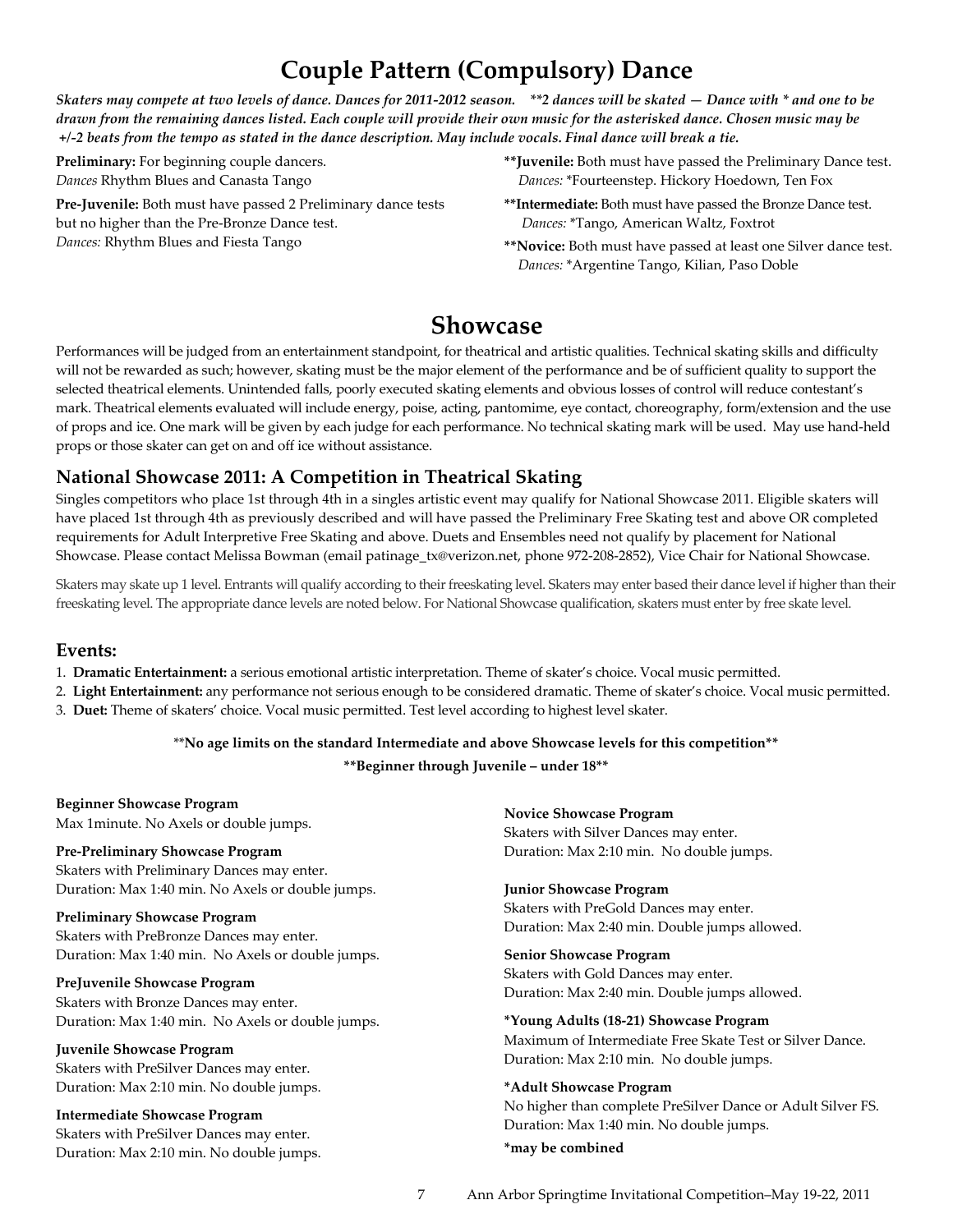# **Couple Pattern (Compulsory) Dance**

*Skaters may compete at two levels of dance. Dances for 2011-2012 season. \*\*2 dances will be skated — Dance with \* and one to be drawn from the remaining dances listed. Each couple will provide their own music for the asterisked dance. Chosen music may be +/-2 beats from the tempo as stated in the dance description. May include vocals. Final dance will break a tie.* 

**Preliminary:** For beginning couple dancers. *Dances* Rhythm Blues and Canasta Tango

**Pre-Juvenile:** Both must have passed 2 Preliminary dance tests but no higher than the Pre-Bronze Dance test. *Dances:* Rhythm Blues and Fiesta Tango

- **\*\*Juvenile:** Both must have passed the Preliminary Dance test. *Dances:* \*Fourteenstep. Hickory Hoedown, Ten Fox
- **\*\*Intermediate:** Both must have passed the Bronze Dance test. *Dances:* \*Tango, American Waltz, Foxtrot
- **\*\*Novice:** Both must have passed at least one Silver dance test. *Dances:* \*Argentine Tango, Kilian, Paso Doble

# **Showcase**

Performances will be judged from an entertainment standpoint, for theatrical and artistic qualities. Technical skating skills and difficulty will not be rewarded as such; however, skating must be the major element of the performance and be of sufficient quality to support the selected theatrical elements. Unintended falls, poorly executed skating elements and obvious losses of control will reduce contestant's mark. Theatrical elements evaluated will include energy, poise, acting, pantomime, eye contact, choreography, form/extension and the use of props and ice. One mark will be given by each judge for each performance. No technical skating mark will be used. May use hand-held props or those skater can get on and off ice without assistance.

# **National Showcase 2011: A Competition in Theatrical Skating**

Singles competitors who place 1st through 4th in a singles artistic event may qualify for National Showcase 2011. Eligible skaters will have placed 1st through 4th as previously described and will have passed the Preliminary Free Skating test and above OR completed requirements for Adult Interpretive Free Skating and above. Duets and Ensembles need not qualify by placement for National Showcase. Please contact Melissa Bowman (email patinage\_tx@verizon.net, phone 972-208-2852), Vice Chair for National Showcase.

Skaters may skate up 1 level. Entrants will qualify according to their freeskating level. Skaters may enter based their dance level if higher than their freeskating level. The appropriate dance levels are noted below. For National Showcase qualification, skaters must enter by free skate level.

# **Events:**

- 1. **Dramatic Entertainment:** a serious emotional artistic interpretation. Theme of skater's choice. Vocal music permitted.
- 2. **Light Entertainment:** any performance not serious enough to be considered dramatic. Theme of skater's choice. Vocal music permitted.
- 3. **Duet:** Theme of skaters' choice. Vocal music permitted. Test level according to highest level skater.

# \*\***No age limits on the standard Intermediate and above Showcase levels for this competition\*\***

**\*\*Beginner through Juvenile – under 18\*\***

**Beginner Showcase Program**  Max 1minute. No Axels or double jumps.

# **Pre-Preliminary Showcase Program**

Skaters with Preliminary Dances may enter. Duration: Max 1:40 min. No Axels or double jumps.

# **Preliminary Showcase Program**

Skaters with PreBronze Dances may enter. Duration: Max 1:40 min. No Axels or double jumps.

# **PreJuvenile Showcase Program**

Skaters with Bronze Dances may enter. Duration: Max 1:40 min. No Axels or double jumps.

# **Juvenile Showcase Program**

Skaters with PreSilver Dances may enter. Duration: Max 2:10 min. No double jumps.

# **Intermediate Showcase Program**

Skaters with PreSilver Dances may enter. Duration: Max 2:10 min. No double jumps. **Novice Showcase Program** Skaters with Silver Dances may enter. Duration: Max 2:10 min. No double jumps.

# **Junior Showcase Program**

Skaters with PreGold Dances may enter. Duration: Max 2:40 min. Double jumps allowed.

## **Senior Showcase Program** Skaters with Gold Dances may enter.

Duration: Max 2:40 min. Double jumps allowed.

**\*Young Adults (18-21) Showcase Program** Maximum of Intermediate Free Skate Test or Silver Dance. Duration: Max 2:10 min. No double jumps.

# **\*Adult Showcase Program**

No higher than complete PreSilver Dance or Adult Silver FS. Duration: Max 1:40 min. No double jumps.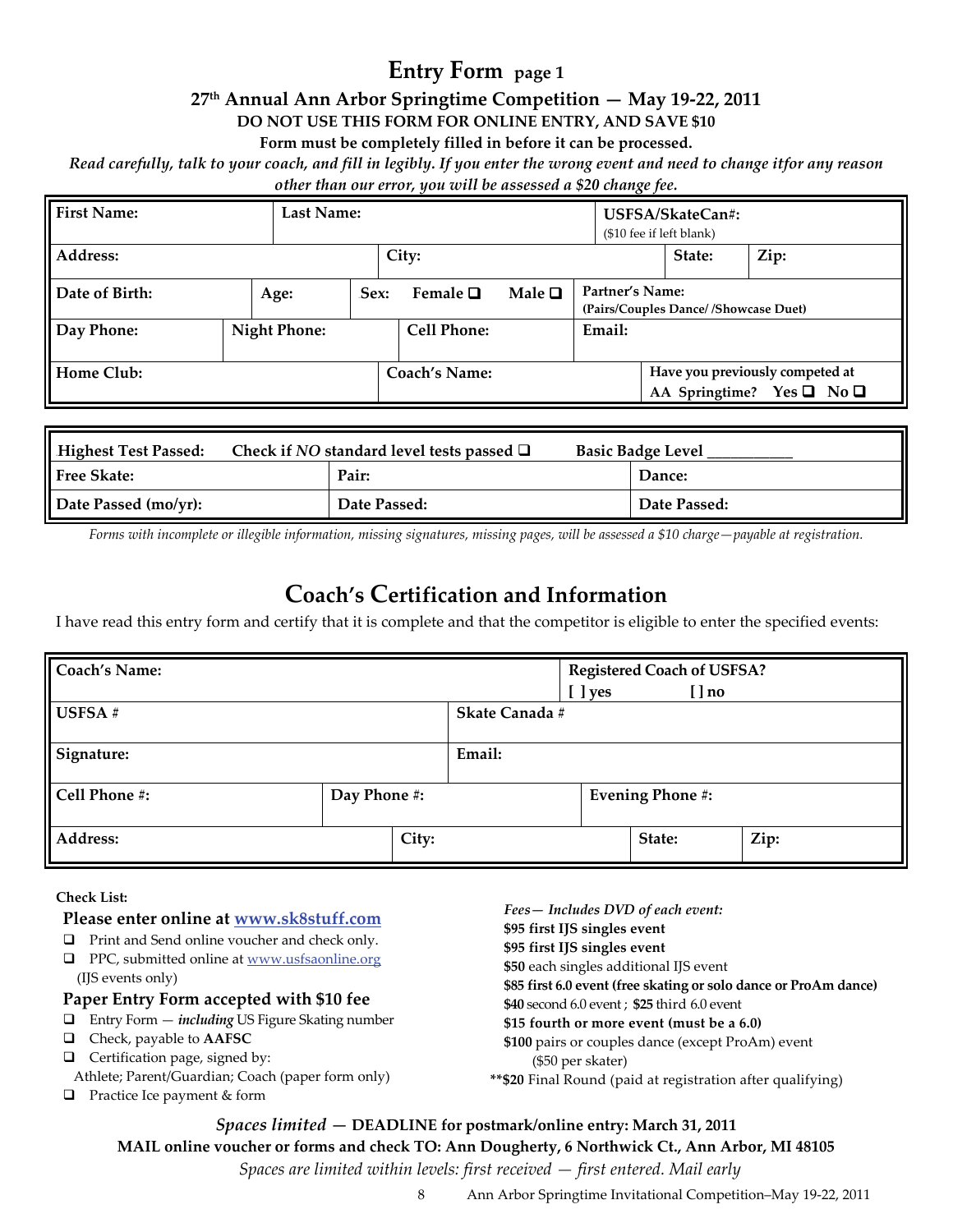# **Entry Form page 1**

# **27th Annual Ann Arbor Springtime Competition — May 19-22, 2011**

**DO NOT USE THIS FORM FOR ONLINE ENTRY, AND SAVE \$10**

**Form must be completely filled in before it can be processed.** 

*Read carefully, talk to your coach, and fill in legibly. If you enter the wrong event and need to change itfor any reason other than our error, you will be assessed a \$20 change fee.*

| <b>First Name:</b> |                     | <b>Last Name:</b> |  |                      |                | USFSA/SkateCan#:<br>(\$10 fee if left blank)            |        |        |                                                                        |
|--------------------|---------------------|-------------------|--|----------------------|----------------|---------------------------------------------------------|--------|--------|------------------------------------------------------------------------|
| Address:           |                     |                   |  | City:                |                |                                                         |        | State: | Zip:                                                                   |
| Date of Birth:     | Age:                | Sex:              |  | Female $\Box$        | Male $\square$ | Partner's Name:<br>(Pairs/Couples Dance//Showcase Duet) |        |        |                                                                        |
| Day Phone:         | <b>Night Phone:</b> |                   |  | Cell Phone:          |                |                                                         | Email: |        |                                                                        |
| Home Club:         |                     |                   |  | <b>Coach's Name:</b> |                |                                                         |        |        | Have you previously competed at<br>AA Springtime? Yes $\Box$ No $\Box$ |

| <b>Highest Test Passed:</b> | Check if NO standard level tests passed $\Box$ | <b>Basic Badge Level</b> |  |  |
|-----------------------------|------------------------------------------------|--------------------------|--|--|
| l Free Skate:               | Pair:                                          | <b>Dance:</b>            |  |  |
| Date Passed (mo/yr):        | Date Passed:                                   | Date Passed:             |  |  |

*Forms with incomplete or illegible information, missing signatures, missing pages, will be assessed a \$10 charge—payable at registration.*

# **Coach's Certification and Information**

I have read this entry form and certify that it is complete and that the competitor is eligible to enter the specified events:

| <b>Coach's Name:</b> |              |                | [ ] yes | <b>Registered Coach of USFSA?</b><br>$[]$ no |      |
|----------------------|--------------|----------------|---------|----------------------------------------------|------|
| USFSA#               |              | Skate Canada # |         |                                              |      |
| Signature:           |              | Email:         |         |                                              |      |
| Cell Phone #:        | Day Phone #: |                |         | <b>Evening Phone #:</b>                      |      |
| Address:             | City:        |                |         | State:                                       | Zip: |

**Check List:**

## **Please enter online at [www.sk8stuff.com](http://www.sk8stuff.com/)**

- □ Print and Send online voucher and check only.
- **PPC**, submitted online at [www.usfsaonline.org](http://www.usfsaonline.org/) (IJS events only)

## **Paper Entry Form accepted with \$10 fee**

- Entry Form *including* US Figure Skating number
- Check, payable to **AAFSC**
- **Q** Certification page, signed by:
- Athlete; Parent/Guardian; Coach (paper form only)
- □ Practice Ice payment & form
- *Fees— Includes DVD of each event:*
- **\$95 first IJS singles event**
- **\$95 first IJS singles event**
- **\$50** each singles additional IJS event
- **\$85 first 6.0 event (free skating or solo dance or ProAm dance)**
- **\$40** second 6.0 event ; **\$25** third 6.0 event
- **\$15 fourth or more event (must be a 6.0)**
- **\$100** pairs or couples dance (except ProAm) event
- (\$50 per skater)
- **\*\*\$20** Final Round (paid at registration after qualifying)

# *Spaces limited —* **DEADLINE for postmark/online entry: March 31, 2011 MAIL online voucher or forms and check TO: Ann Dougherty, 6 Northwick Ct., Ann Arbor, MI 48105**

*Spaces are limited within levels: first received — first entered. Mail early*

8 Ann Arbor Springtime Invitational Competition–May 19-22, 2011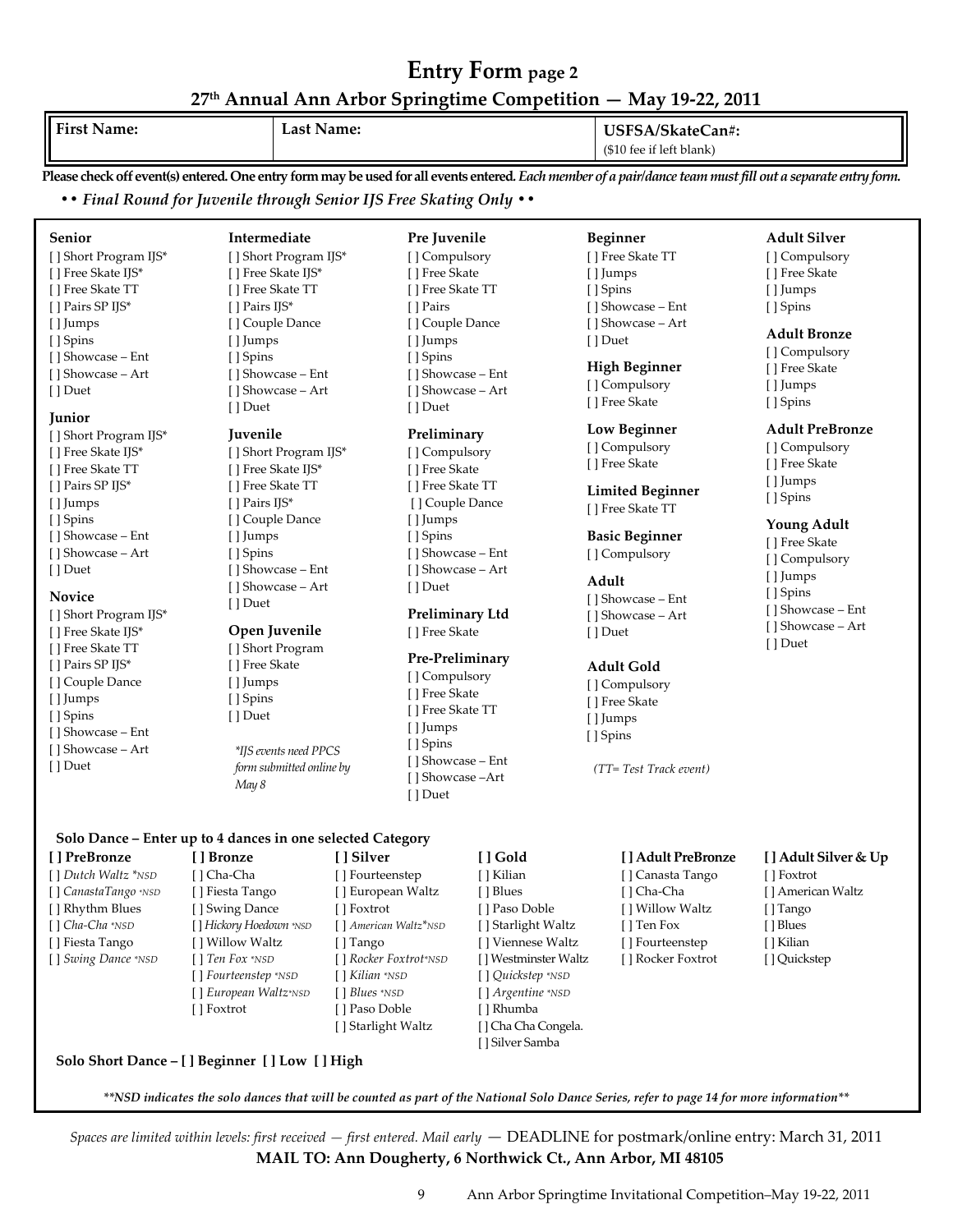# **Entry Form page 2 27th Annual Ann Arbor Springtime Competition — May 19-22, 2011**

| First Name: | Last Name: | /SkateCan#:<br>ЭAГ.<br>. эг |
|-------------|------------|-----------------------------|
|             |            | ) fee if left blank`        |

**Please check off event(s) entered. One entry form may be used for all events entered***. Each member of a pair/dance team must fill out a separate entry form. •• Final Round for Juvenile through Senior IJS Free Skating Only ••* 

#### **Senior**

[ ] Short Program IJS\* [ ] Free Skate IJS\* [ ] Free Skate TT [ ] Pairs SP IJS\* [ ] Jumps [ ] Spins [ ] Showcase – Ent [ ] Showcase – Art [ ] Duet

## **Junior**

- [ ] Short Program IJS\* [ ] Free Skate IJS\* [ ] Free Skate TT [ ] Pairs SP IJS\* [ ] Jumps [ ] Spins [ ] Showcase – Ent [ ] Showcase – Art [ ] Duet **Novice**
- [ ] Short Program IJS\* [ ] Free Skate IJS\* [ ] Free Skate TT [ ] Pairs SP IJS\* [ ] Couple Dance [ ] Jumps [ ] Spins [ ] Showcase – Ent [ ] Showcase – Art

[ ] Duet

**[ ] PreBronze** [ ] *Dutch Waltz \*NSD* [ ] *CanastaTango \*NSD* [ ] Rhythm Blues [ ] *Cha-Cha \*NSD* [ ] Fiesta Tango [ ] *Swing Dance \*NSD*

[ ] Free Skate IJS\* [ ] Free Skate TT [ ] Pairs IJS\* [ ] Couple Dance [ ] Jumps [ ] Spins [ ] Showcase – Ent [ ] Showcase – Art [ ] Duet **Juvenile**

**Intermediate** [ ] Short Program IJS\*

[ ] Short Program IJS\* [ ] Free Skate IJS\* [ ] Free Skate TT [ ] Pairs IJS\* [ ] Couple Dance [ ] Jumps [ ] Spins [ ] Showcase – Ent [ ] Showcase – Art [ ] Duet

#### **Open Juvenile**

- [ ] Short Program [ ] Free Skate
- [ ] Jumps [ ] Spins [ ] Duet

**Solo Dance – Enter up to 4 dances in one selected Category**

**[ ] Bronze** [ ] Cha-Cha [ ] Fiesta Tango [ ] Swing Dance [ ] *Hickory Hoedown \*NSD* [ ] Willow Waltz [ ] *Ten Fox \*NSD* [ ] *Fourteenstep \*NSD* [ ] *European Waltz\*NSD*

*\*IJS events need PPCS form submitted online by May 8*

> **[ ] Silver** [ ] Fourteenstep [ ] European Waltz [ ] Foxtrot

[ ] Tango

[ ] *American Waltz\*NSD*

[ ] *Rocker Foxtrot\*NSD* [ ] *Kilian \*NSD* [ ] *Blues \*NSD* [ ] Paso Doble [ ] Starlight Waltz

**Pre Juvenile** [ ] Compulsory [ ] Free Skate [ ] Free Skate TT [ ] Pairs [ ] Couple Dance [ ] Jumps [ ] Spins [ ] Showcase – Ent [ ] Showcase – Art [ ] Duet

### **Preliminary**

[ ] Compulsory [ ] Free Skate [ ] Free Skate TT [ ] Couple Dance [ ] Jumps [ ] Spins [ ] Showcase – Ent [ ] Showcase – Art [ ] Duet

## **Preliminary Ltd**

[ ] Free Skate

## **Pre-Preliminary**

[ ] Compulsory [ ] Free Skate [ ] Free Skate TT [ ] Jumps [ ] Spins [ ] Showcase – Ent [ ] Showcase –Art [ ] Duet

> **[ ] Gold** [ ] Kilian [ ] Blues [ ] Paso Doble [ ] Starlight Waltz [ ] Viennese Waltz [ ] Westminster Waltz [ ] *Quickstep \*NSD* [ ] *Argentine \*NSD* [ ] Rhumba [ ] Cha Cha Congela. [ ] Silver Samba

**Beginner**  [ ] Free Skate TT [ ] Jumps [ ] Spins [ ] Showcase – Ent [ ] Showcase – Art [ ] Duet

#### **High Beginner**

[ ] Compulsory [ ] Free Skate

## **Low Beginner**

[ ] Compulsory [ ] Free Skate

#### **Limited Beginner** [ ] Free Skate TT

**Basic Beginner** [ ] Compulsory

## **Adult**

[ ] Showcase – Ent [ ] Showcase – Art [ ] Duet

# **Adult Gold**

[ ] Compulsory [ ] Free Skate [ ] Jumps [ ] Spins

*(TT= Test Track event)*

## **[ ] Adult PreBronze**

[ ] Canasta Tango [ ] Cha-Cha [ ] Willow Waltz [ ] Ten Fox [ ] Fourteenstep [ ] Rocker Foxtrot

# **[ ] Adult Silver & Up**

[ ] Foxtrot

**Adult Silver** [ ] Compulsory [ ] Free Skate [ ] Jumps [ ] Spins

**Adult Bronze** [ ] Compulsory [ ] Free Skate [ ] Jumps [ ] Spins

**Adult PreBronze** [ ] Compulsory [ ] Free Skate [ ] Jumps [ ] Spins

**Young Adult** [ ] Free Skate [ ] Compulsory [ ] Jumps [ ] Spins

[ ] Showcase – Ent [ ] Showcase – Art

[ ] Duet

- [ ] American Waltz
- [ ] Tango
- [ ] Blues
- [ ] Kilian [ ] Quickstep

# **Solo Short Dance – [ ] Beginner [ ] Low [ ] High**

[ ] Foxtrot

*\*\*NSD indicates the solo dances that will be counted as part of the National Solo Dance Series, refer to page 14 for more information\*\**

*Spaces are limited within levels: first received — first entered. Mail early —* DEADLINE for postmark/online entry: March 31, 2011 **MAIL TO: Ann Dougherty, 6 Northwick Ct., Ann Arbor, MI 48105**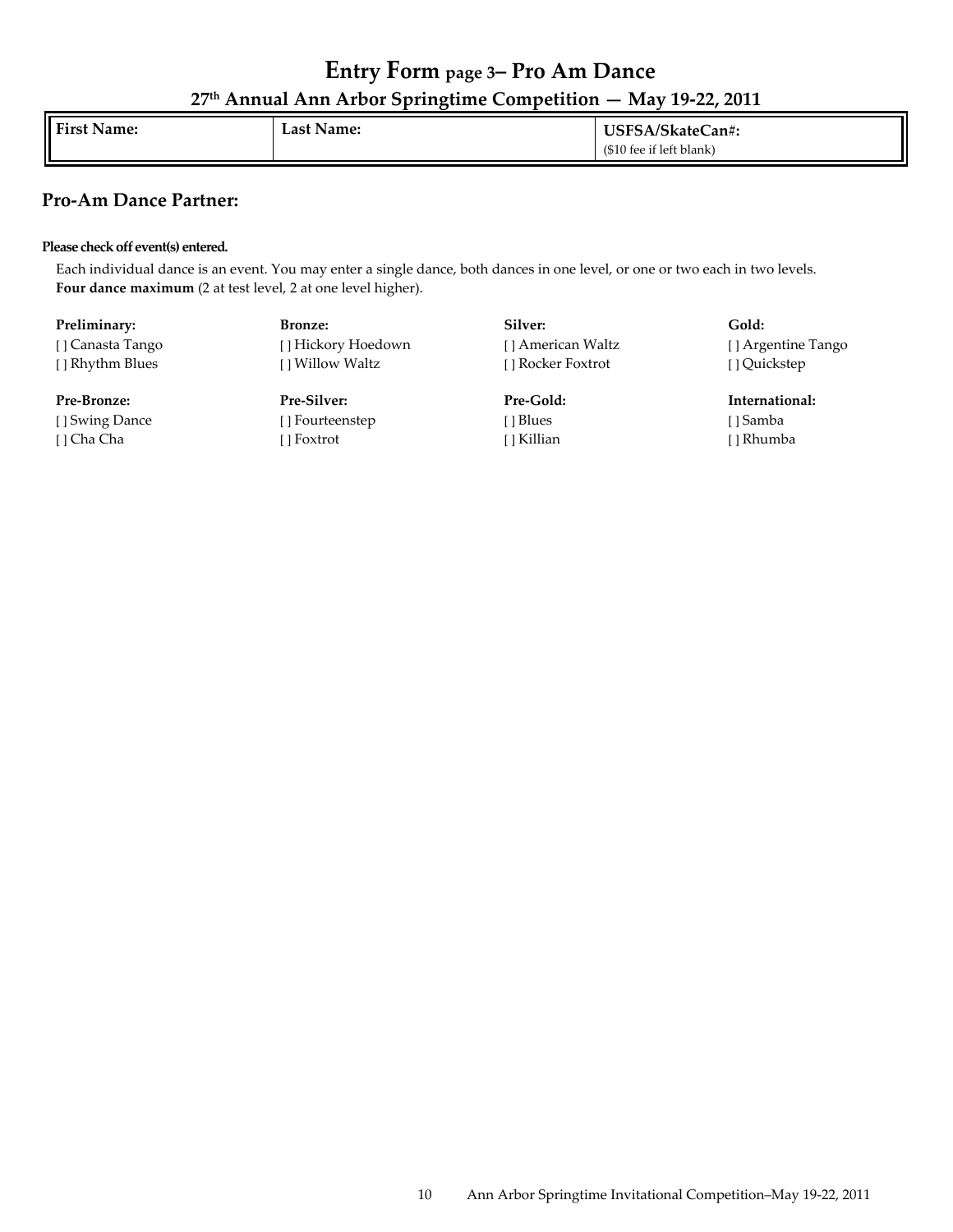# **Entry Form page 3– Pro Am Dance 27th Annual Ann Arbor Springtime Competition — May 19-22, 2011**

| <b>First Name:</b> | Last Name: | USFSA/SkateCan#:         |
|--------------------|------------|--------------------------|
|                    |            | (\$10 fee if left blank) |

# **Pro-Am Dance Partner:**

### **Please check off event(s) entered.**

Each individual dance is an event. You may enter a single dance, both dances in one level, or one or two each in two levels. Four dance maximum (2 at test level, 2 at one level higher).

| Preliminary:     | Bronze:             | Silver:           | Gold:              |
|------------------|---------------------|-------------------|--------------------|
| [] Canasta Tango | [ ] Hickory Hoedown | [] American Waltz | [] Argentine Tango |
| [ ] Rhythm Blues | I Willow Waltz      | [] Rocker Foxtrot | [] Quickstep       |
| Pre-Bronze:      | Pre-Silver:         | Pre-Gold:         | International:     |
| [] Swing Dance   | [] Fourteenstep     | [ ] Blues         | [ ] Samba          |
| I 1 Cha Cha      | [] Foxtrot          | [ ] Killian       | [ ] Rhumba         |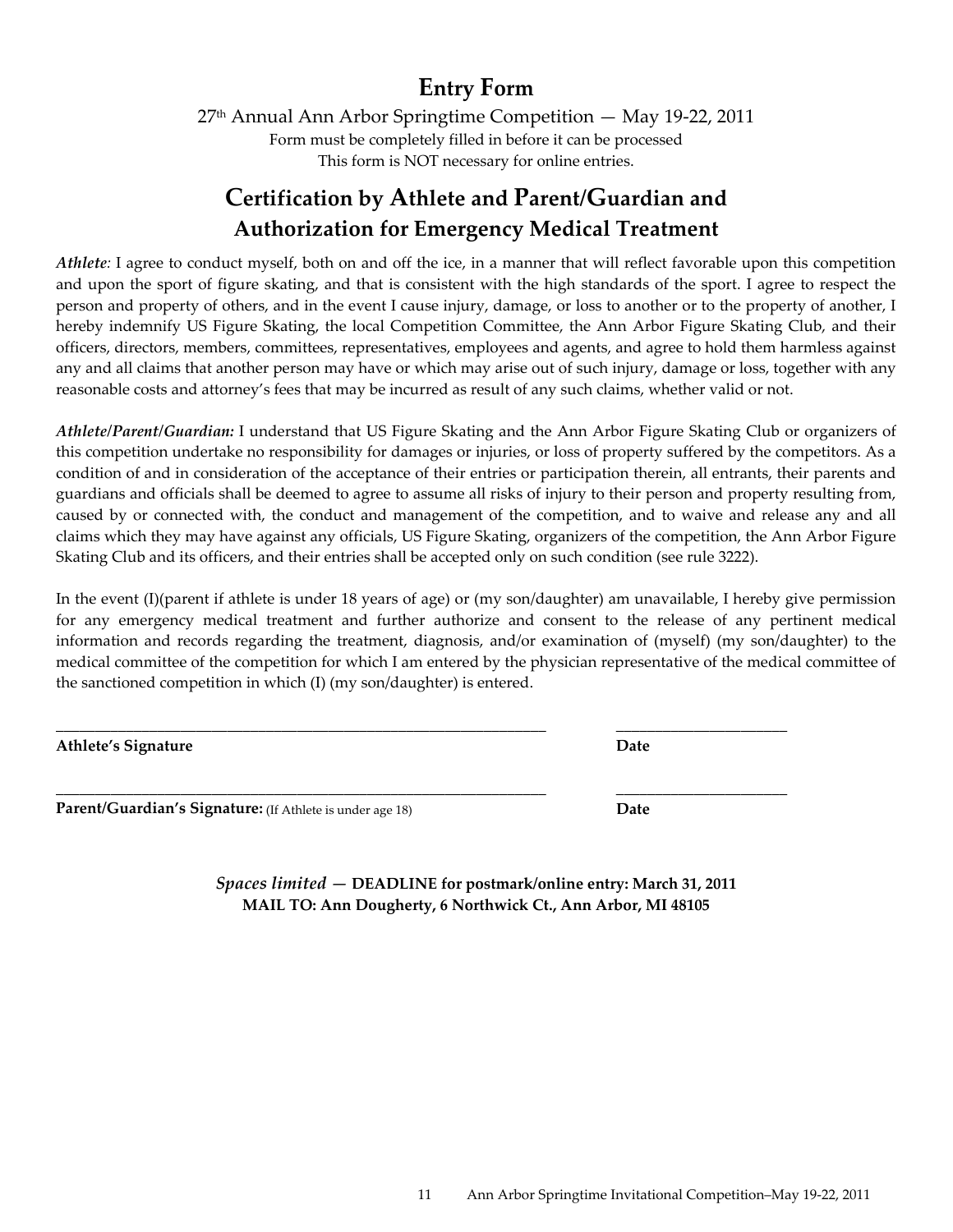# **Entry Form**

 $27<sup>th</sup>$  Annual Ann Arbor Springtime Competition  $-$  May 19-22, 2011 Form must be completely filled in before it can be processed This form is NOT necessary for online entries.

# **Certification by Athlete and Parent/Guardian and Authorization for Emergency Medical Treatment**

*Athlete:* I agree to conduct myself, both on and off the ice, in a manner that will reflect favorable upon this competition and upon the sport of figure skating, and that is consistent with the high standards of the sport. I agree to respect the person and property of others, and in the event I cause injury, damage, or loss to another or to the property of another, I hereby indemnify US Figure Skating, the local Competition Committee, the Ann Arbor Figure Skating Club, and their officers, directors, members, committees, representatives, employees and agents, and agree to hold them harmless against any and all claims that another person may have or which may arise out of such injury, damage or loss, together with any reasonable costs and attorney's fees that may be incurred as result of any such claims, whether valid or not.

*Athlete/Parent/Guardian:* I understand that US Figure Skating and the Ann Arbor Figure Skating Club or organizers of this competition undertake no responsibility for damages or injuries, or loss of property suffered by the competitors. As a condition of and in consideration of the acceptance of their entries or participation therein, all entrants, their parents and guardians and officials shall be deemed to agree to assume all risks of injury to their person and property resulting from, caused by or connected with, the conduct and management of the competition, and to waive and release any and all claims which they may have against any officials, US Figure Skating, organizers of the competition, the Ann Arbor Figure Skating Club and its officers, and their entries shall be accepted only on such condition (see rule 3222).

In the event (I)(parent if athlete is under 18 years of age) or (my son/daughter) am unavailable, I hereby give permission for any emergency medical treatment and further authorize and consent to the release of any pertinent medical information and records regarding the treatment, diagnosis, and/or examination of (myself) (my son/daughter) to the medical committee of the competition for which I am entered by the physician representative of the medical committee of the sanctioned competition in which (I) (my son/daughter) is entered.

| <b>Athlete's Signature</b>                                | Date |  |
|-----------------------------------------------------------|------|--|
| Parent/Guardian's Signature: (If Athlete is under age 18) | Date |  |

*Spaces limited —* **DEADLINE for postmark/online entry: March 31, 2011 MAIL TO: Ann Dougherty, 6 Northwick Ct., Ann Arbor, MI 48105**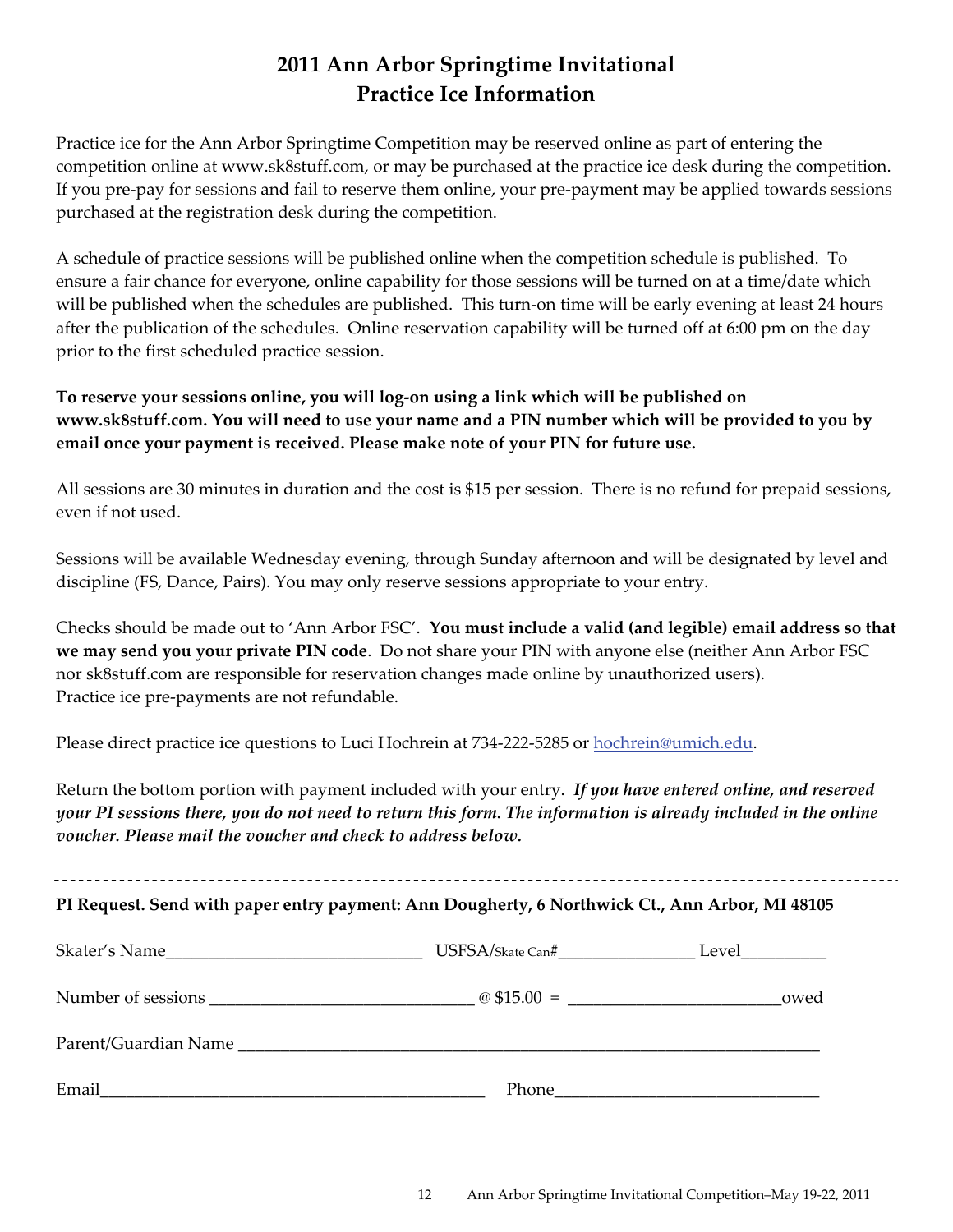# **2011 Ann Arbor Springtime Invitational Practice Ice Information**

Practice ice for the Ann Arbor Springtime Competition may be reserved online as part of entering the competition online at www.sk8stuff.com, or may be purchased at the practice ice desk during the competition. If you pre-pay for sessions and fail to reserve them online, your pre-payment may be applied towards sessions purchased at the registration desk during the competition.

A schedule of practice sessions will be published online when the competition schedule is published. To ensure a fair chance for everyone, online capability for those sessions will be turned on at a time/date which will be published when the schedules are published. This turn-on time will be early evening at least 24 hours after the publication of the schedules. Online reservation capability will be turned off at 6:00 pm on the day prior to the first scheduled practice session.

# **To reserve your sessions online, you will log-on using a link which will be published on www.sk8stuff.com. You will need to use your name and a PIN number which will be provided to you by email once your payment is received. Please make note of your PIN for future use.**

All sessions are 30 minutes in duration and the cost is \$15 per session. There is no refund for prepaid sessions, even if not used.

Sessions will be available Wednesday evening, through Sunday afternoon and will be designated by level and discipline (FS, Dance, Pairs). You may only reserve sessions appropriate to your entry.

Checks should be made out to 'Ann Arbor FSC'. **You must include a valid (and legible) email address so that we may send you your private PIN code**. Do not share your PIN with anyone else (neither Ann Arbor FSC nor sk8stuff.com are responsible for reservation changes made online by unauthorized users). Practice ice pre-payments are not refundable.

Please direct practice ice questions to Luci Hochrein at 734-222-5285 or [hochrein@umich.edu.](mailto:hochrein@umich.edu)

Return the bottom portion with payment included with your entry. *If you have entered online, and reserved your PI sessions there, you do not need to return this form. The information is already included in the online voucher. Please mail the voucher and check to address below.* 

**PI Request. Send with paper entry payment: Ann Dougherty, 6 Northwick Ct., Ann Arbor, MI 48105**

| Skater's Name        | $\mathrm{USFSA}/\mathrm{State\,Can}^{\#}$ | Level |
|----------------------|-------------------------------------------|-------|
| Number of sessions   | $\omega$ \$15.00 =                        | owed  |
| Parent/Guardian Name |                                           |       |
| Email                | Phone                                     |       |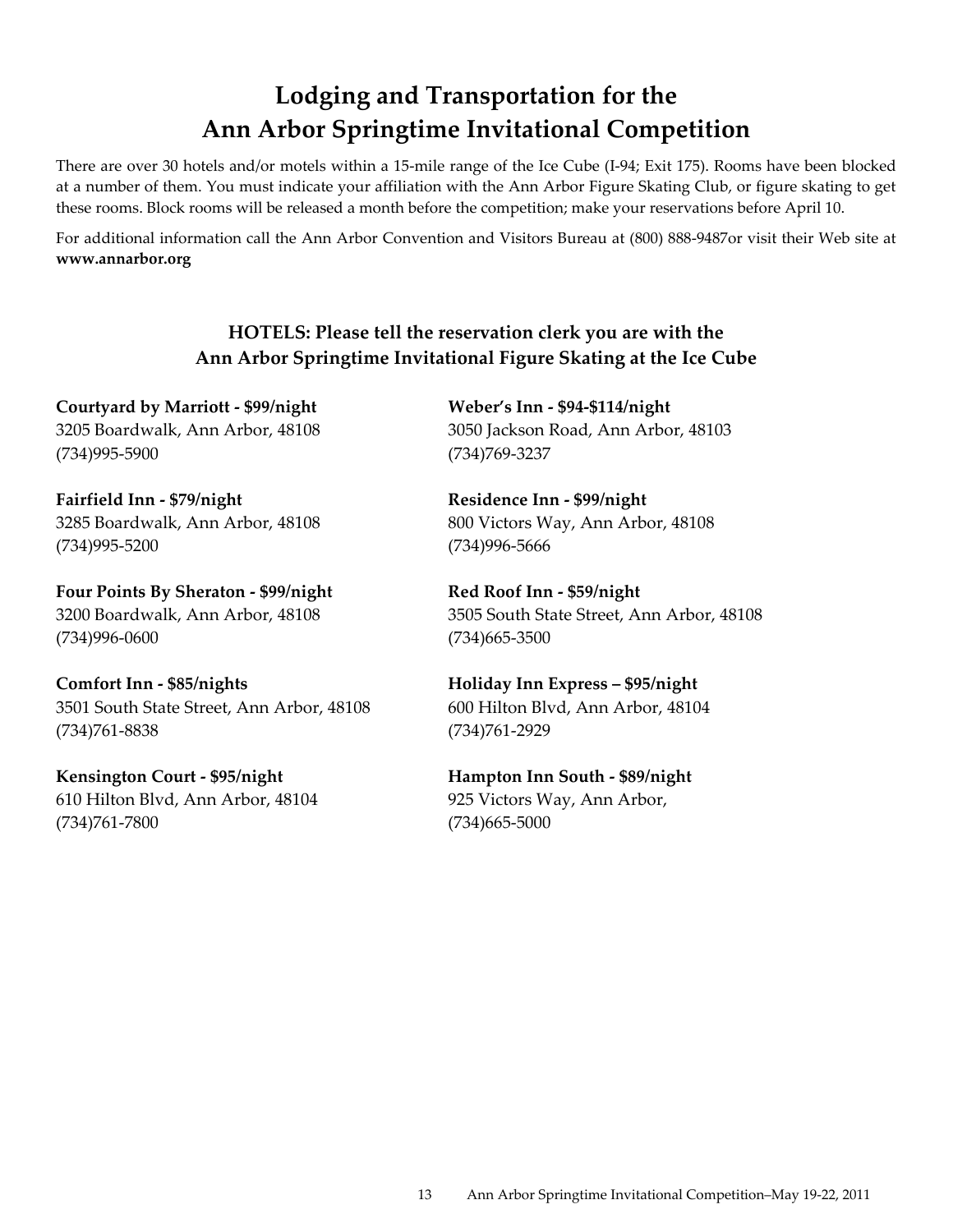# **Lodging and Transportation for the Ann Arbor Springtime Invitational Competition**

There are over 30 hotels and/or motels within a 15-mile range of the Ice Cube (I-94; Exit 175). Rooms have been blocked at a number of them. You must indicate your affiliation with the Ann Arbor Figure Skating Club, or figure skating to get these rooms. Block rooms will be released a month before the competition; make your reservations before April 10.

For additional information call the Ann Arbor Convention and Visitors Bureau at (800) 888-9487or visit their Web site at **[www.annarbor.org](http://www.annarbor.org/)**

# **HOTELS: Please tell the reservation clerk you are with the Ann Arbor Springtime Invitational Figure Skating at the Ice Cube**

**Courtyard by Marriott - \$99/night Weber's Inn - \$94-\$114/night** (734)995-5900 (734)769-3237

**Fairfield Inn - \$79/night Residence Inn - \$99/night** (734)995-5200 (734)996-5666

**Four Points By Sheraton - \$99/night Red Roof Inn - \$59/night** (734)996-0600 (734)665-3500

**Comfort Inn - \$85/nights Holiday Inn Express – \$95/night** 3501 South State Street, Ann Arbor, 48108 600 Hilton Blvd, Ann Arbor, 48104 (734)761-8838 (734)761-2929

**Kensington Court - \$95/night Hampton Inn South - \$89/night** 610 Hilton Blvd, Ann Arbor, 48104 925 Victors Way, Ann Arbor, (734)761-7800 (734)665-5000

3205 Boardwalk, Ann Arbor, 48108 3050 Jackson Road, Ann Arbor, 48103

3285 Boardwalk, Ann Arbor, 48108 800 Victors Way, Ann Arbor, 48108

3200 Boardwalk, Ann Arbor, 48108 3505 South State Street, Ann Arbor, 48108